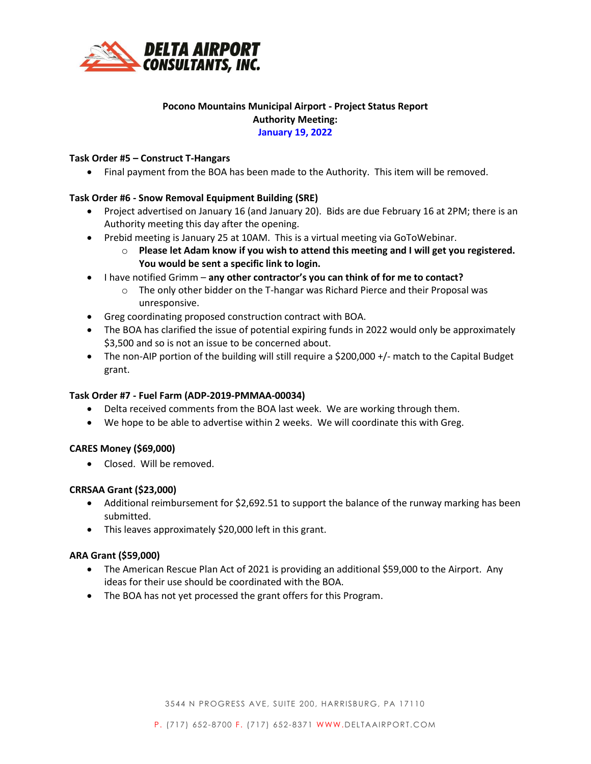

# **Pocono Mountains Municipal Airport - Project Status Report Authority Meeting: January 19, 2022**

### **Task Order #5 – Construct T-Hangars**

• Final payment from the BOA has been made to the Authority. This item will be removed.

## **Task Order #6 - Snow Removal Equipment Building (SRE)**

- Project advertised on January 16 (and January 20). Bids are due February 16 at 2PM; there is an Authority meeting this day after the opening.
- Prebid meeting is January 25 at 10AM. This is a virtual meeting via GoToWebinar.
	- o **Please let Adam know if you wish to attend this meeting and I will get you registered. You would be sent a specific link to login.**
- I have notified Grimm **any other contractor's you can think of for me to contact?**
	- o The only other bidder on the T-hangar was Richard Pierce and their Proposal was unresponsive.
- Greg coordinating proposed construction contract with BOA.
- The BOA has clarified the issue of potential expiring funds in 2022 would only be approximately \$3,500 and so is not an issue to be concerned about.
- The non-AIP portion of the building will still require a \$200,000 +/- match to the Capital Budget grant.

### **Task Order #7 - Fuel Farm (ADP-2019-PMMAA-00034)**

- Delta received comments from the BOA last week. We are working through them.
- We hope to be able to advertise within 2 weeks. We will coordinate this with Greg.

### **CARES Money (\$69,000)**

• Closed. Will be removed.

### **CRRSAA Grant (\$23,000)**

- Additional reimbursement for \$2,692.51 to support the balance of the runway marking has been submitted.
- This leaves approximately \$20,000 left in this grant.

### **ARA Grant (\$59,000)**

- The American Rescue Plan Act of 2021 is providing an additional \$59,000 to the Airport. Any ideas for their use should be coordinated with the BOA.
- The BOA has not yet processed the grant offers for this Program.

3544 N PROGRESS AVE, SUITE 200, HARRISBURG, PA 17110